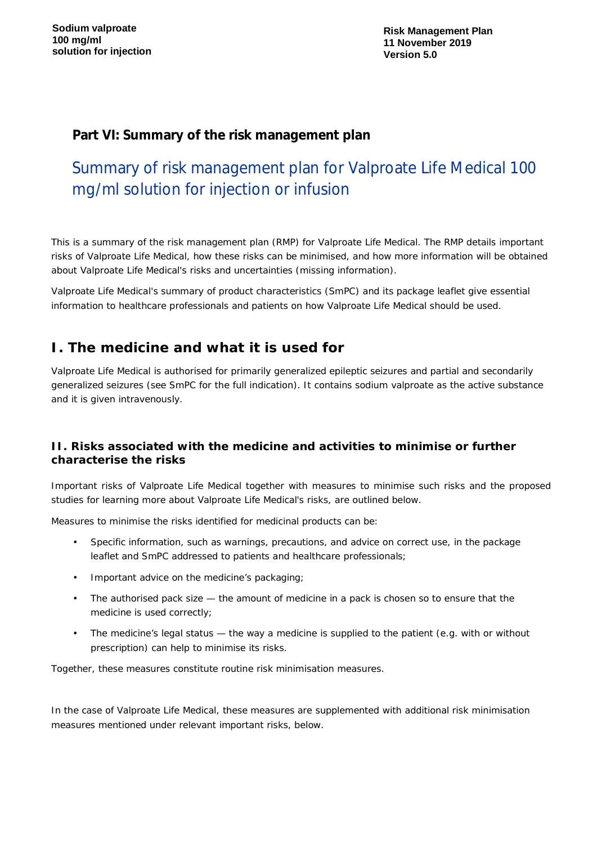**Risk Management Plan 11 November 2019 Version 5.0**

## **Part VI: Summary of the risk management plan**

# Summary of risk management plan for Valproate Life Medical 100 mg/ml solution for injection or infusion

This is a summary of the risk management plan (RMP) for Valproate Life Medical. The RMP details important risks of Valproate Life Medical, how these risks can be minimised, and how more information will be obtained about Valproate Life Medical's risks and uncertainties (missing information).

Valproate Life Medical's summary of product characteristics (SmPC) and its package leaflet give essential information to healthcare professionals and patients on how Valproate Life Medical should be used.

## **I. The medicine and what it is used for**

Valproate Life Medical is authorised for primarily generalized epileptic seizures and partial and secondarily generalized seizures (see SmPC for the full indication). It contains sodium valproate as the active substance and it is given intravenously.

#### *II. Risks associated with the medicine and activities to minimise or further characterise the risks*

Important risks of Valproate Life Medical together with measures to minimise such risks and the proposed studies for learning more about Valproate Life Medical's risks, are outlined below.

Measures to minimise the risks identified for medicinal products can be:

- ÷, Specific information, such as warnings, precautions, and advice on correct use, in the package leaflet and SmPC addressed to patients and healthcare professionals;
- Important advice on the medicine's packaging;
- l. The authorised pack size — the amount of medicine in a pack is chosen so to ensure that the medicine is used correctly;
- The medicine's legal status the way a medicine is supplied to the patient (e.g. with or without prescription) can help to minimise its risks.

Together, these measures constitute *routine risk minimisation* measures.

In the case of Valproate Life Medical, these measures are supplemented with *additional risk minimisation measures* mentioned under relevant important risks, below.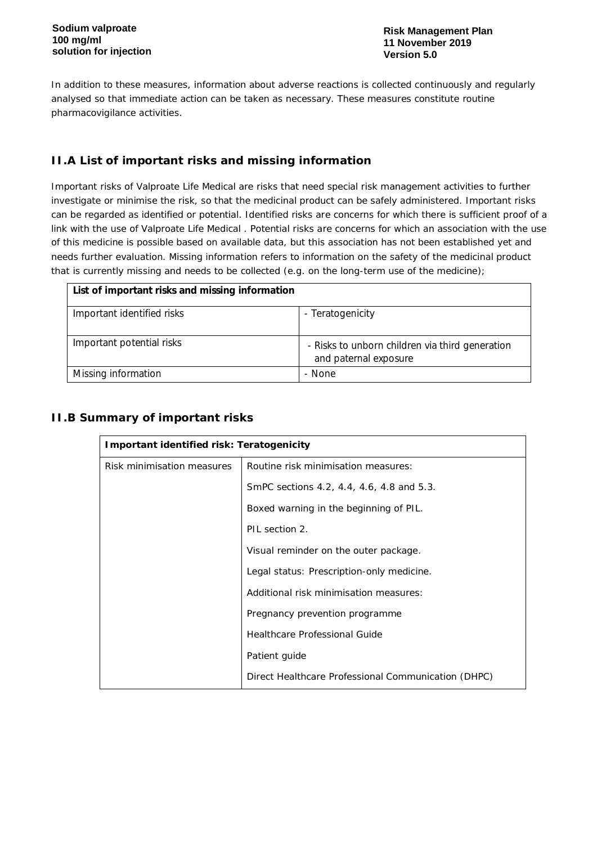In addition to these measures, information about adverse reactions is collected continuously and regularly analysed so that immediate action can be taken as necessary. These measures constitute *routine pharmacovigilance activities*.

## *II.A List of important risks and missing information*

Important risks of Valproate Life Medical are risks that need special risk management activities to further investigate or minimise the risk, so that the medicinal product can be safely administered. Important risks can be regarded as identified or potential. Identified risks are concerns for which there is sufficient proof of a link with the use of Valproate Life Medical . Potential risks are concerns for which an association with the use of this medicine is possible based on available data, but this association has not been established yet and needs further evaluation. Missing information refers to information on the safety of the medicinal product that is currently missing and needs to be collected (e.g. on the long-term use of the medicine);

| List of important risks and missing information |                                                                          |
|-------------------------------------------------|--------------------------------------------------------------------------|
| Important identified risks                      | - Teratogenicity                                                         |
| Important potential risks                       | - Risks to unborn children via third generation<br>and paternal exposure |
| Missing information                             | - None                                                                   |

## *II.B Summary of important risks*

| Important identified risk: Teratogenicity |                                                     |
|-------------------------------------------|-----------------------------------------------------|
| Risk minimisation measures                | Routine risk minimisation measures:                 |
|                                           | SmPC sections 4.2, 4.4, 4.6, 4.8 and 5.3.           |
|                                           | Boxed warning in the beginning of PIL.              |
|                                           | PIL section 2.                                      |
|                                           | Visual reminder on the outer package.               |
|                                           | Legal status: Prescription-only medicine.           |
|                                           | Additional risk minimisation measures:              |
|                                           | Pregnancy prevention programme                      |
|                                           | Healthcare Professional Guide                       |
|                                           | Patient guide                                       |
|                                           | Direct Healthcare Professional Communication (DHPC) |